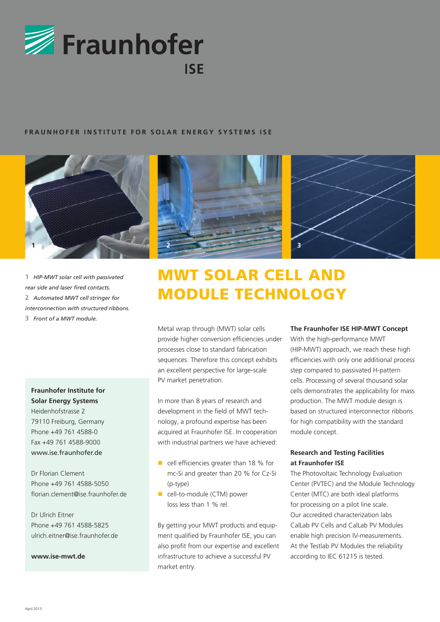

#### **FRAUNHOFER INSTITUTE FOR SOLAR ENERGY SYSTEMS ISE**



**1** *HIP-MWT solar cell with passivated rear side and laser fired contacts.* **2** *Automated MWT cell stringer for interconnection with structured ribbons.* **3** *Front of a MWT module.*

**Fraunhofer Institute for Solar Energy Systems** Heidenhofstrasse 2 79110 Freiburg, Germany Phone +49 761 4588-0 Fax +49 761 4588-9000 www.ise.fraunhofer.de

Dr Florian Clement Phone +49 761 4588-5050 florian.clement@ise.fraunhofer.de

Dr Ulrich Eitner Phone +49 761 4588-5825 ulrich.eitner@ise.fraunhofer.de

**www.ise-mwt.de**





# MWT Solar Cell and Module Technology

Metal wrap through (MWT) solar cells provide higher conversion efficiencies under processes close to standard fabrication sequences. Therefore this concept exhibits an excellent perspective for large-scale PV market penetration.

In more than 8 years of research and development in the field of MWT technology, a profound expertise has been acquired at Fraunhofer ISE. In cooperation with industrial partners we have achieved:

- $\blacksquare$  cell efficiencies greater than 18 % for mc-Si and greater than 20 % for Cz-Si (p-type)
- cell-to-module (CTM) power loss less than 1 % rel.

By getting your MWT products and equipment qualified by Fraunhofer ISE, you can also profit from our expertise and excellent infrastructure to achieve a successful PV market entry.

#### **The Fraunhofer ISE HIP-MWT Concept**

With the high-performance MWT (HIP-MWT) approach, we reach these high efficiencies with only one additional process step compared to passivated H-pattern cells. Processing of several thousand solar cells demonstrates the applicability for mass production. The MWT module design is based on structured interconnector ribbons for high compatibility with the standard module concept.

#### **Research and Testing Facilities at Fraunhofer ISE**

The Photovoltaic Technology Evaluation Center (PVTEC) and the Module Technology Center (MTC) are both ideal platforms for processing on a pilot line scale. Our accredited characterization labs CalLab PV Cells and CalLab PV Modules enable high precision IV-measurements. At the Testlab PV Modules the reliability according to IEC 61215 is tested.